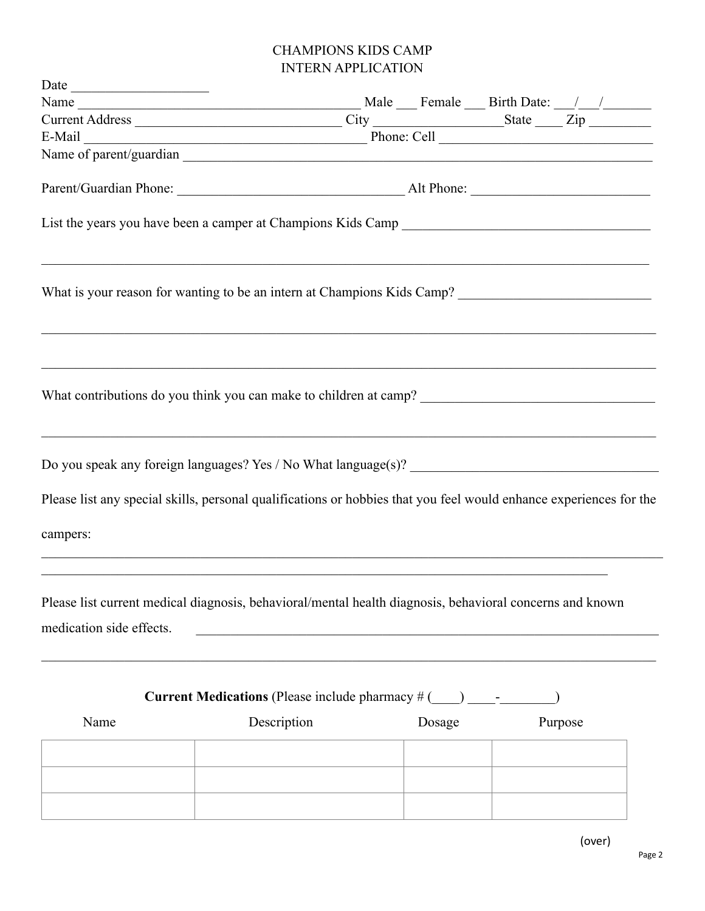## CHAMPIONS KIDS CAMP INTERN APPLICATION

| Name<br>Current Address<br>E-Mail<br>E-Mail<br>Phone: Cell<br>City<br>Phone: Cell                                                    |                                                                                   |        |         |
|--------------------------------------------------------------------------------------------------------------------------------------|-----------------------------------------------------------------------------------|--------|---------|
|                                                                                                                                      |                                                                                   |        |         |
|                                                                                                                                      |                                                                                   |        |         |
|                                                                                                                                      |                                                                                   |        |         |
|                                                                                                                                      |                                                                                   |        |         |
|                                                                                                                                      |                                                                                   |        |         |
| What is your reason for wanting to be an intern at Champions Kids Camp?                                                              |                                                                                   |        |         |
|                                                                                                                                      |                                                                                   |        |         |
| Do you speak any foreign languages? Yes / No What language(s)?                                                                       |                                                                                   |        |         |
| Please list any special skills, personal qualifications or hobbies that you feel would enhance experiences for the                   |                                                                                   |        |         |
| campers:                                                                                                                             |                                                                                   |        |         |
| Please list current medical diagnosis, behavioral/mental health diagnosis, behavioral concerns and known<br>medication side effects. | <u> 1980 - Johann Barbara, martin amerikan ba</u>                                 |        |         |
|                                                                                                                                      | <b>Current Medications</b> (Please include pharmacy $\#$ (____) ________________) |        |         |
| Name                                                                                                                                 | Description                                                                       | Dosage | Purpose |
|                                                                                                                                      |                                                                                   |        |         |
|                                                                                                                                      |                                                                                   |        |         |
|                                                                                                                                      |                                                                                   |        |         |
|                                                                                                                                      |                                                                                   |        |         |
|                                                                                                                                      |                                                                                   |        |         |